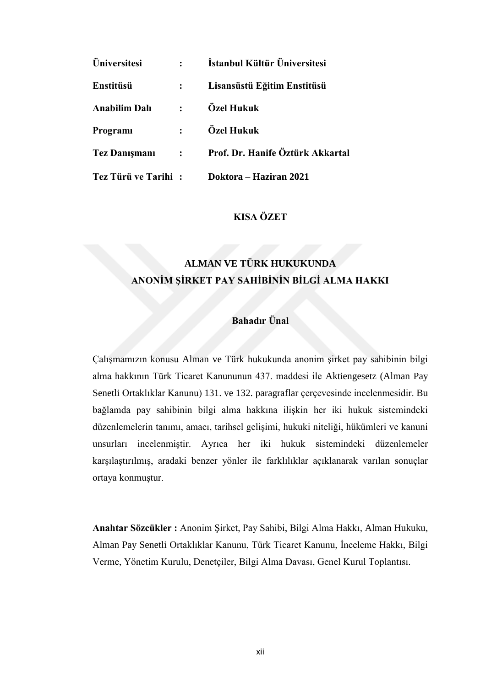| <b>Üniversitesi</b>  |                 | İstanbul Kültür Üniversitesi     |
|----------------------|-----------------|----------------------------------|
| Enstitüsü            |                 | Lisansüstü Eğitim Enstitüsü      |
| <b>Anabilim Dalı</b> | $\mathbf{r}$    | Özel Hukuk                       |
| Programi             | $\mathbf{r}$    | Özel Hukuk                       |
| <b>Tez Danismani</b> | $\sim 10^{-11}$ | Prof. Dr. Hanife Öztürk Akkartal |
| Tez Türü ve Tarihi:  |                 | Doktora – Haziran 2021           |

### **KISA ÖZET**

# **ALMAN VE TÜRK HUKUKUNDA ANONİM ŞİRKET PAY SAHİBİNİN BİLGİ ALMA HAKKI**

## **Bahadır Ünal**

Çalışmamızın konusu Alman ve Türk hukukunda anonim şirket pay sahibinin bilgi alma hakkının Türk Ticaret Kanununun 437. maddesi ile Aktiengesetz (Alman Pay Senetli Ortaklıklar Kanunu) 131. ve 132. paragraflar çerçevesinde incelenmesidir. Bu bağlamda pay sahibinin bilgi alma hakkına ilişkin her iki hukuk sistemindeki düzenlemelerin tanımı, amacı, tarihsel gelişimi, hukuki niteliği, hükümleri ve kanuni unsurları incelenmiştir. Ayrıca her iki hukuk sistemindeki düzenlemeler karşılaştırılmış, aradaki benzer yönler ile farklılıklar açıklanarak varılan sonuçlar ortaya konmuştur.

**Anahtar Sözcükler :** Anonim Şirket, Pay Sahibi, Bilgi Alma Hakkı, Alman Hukuku, Alman Pay Senetli Ortaklıklar Kanunu, Türk Ticaret Kanunu, İnceleme Hakkı, Bilgi Verme, Yönetim Kurulu, Denetçiler, Bilgi Alma Davası, Genel Kurul Toplantısı.